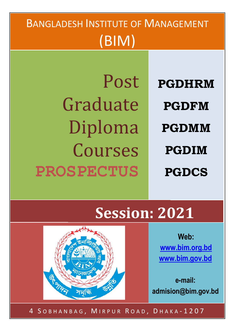## BANGLADESH INSTITUTE OF MANAGEMENT (BIM) Post Graduate Diploma Courses **PROSPECTUS PGDHRM PGDFM PGDMM PGDIM PGDCS**

# **Session: 2021**

**Web: [www.bim.org.bd](http://www.bim.org.bd/) [www.bim.gov.bd](http://www.bim.gov.bd/)**

**e-mail: admision@bim.gov.bd**



4 SOBHANBAG, MIRPUR ROAD, DHAKA-1207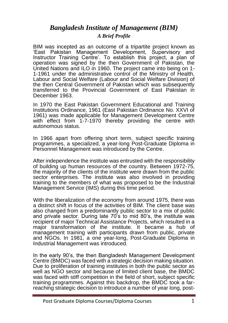### *Bangladesh Institute of Management (BIM) A Brief Profile*

BIM was incepted as an outcome of a tripartite project known as 'East Pakistan Management Development, Supervisory and Instructor Training Centre'. To establish this project, a plan of operation was signed by the then Government of Pakistan, the United Nations and ILO in 1960. The project came into being on 1- 1-1961 under the administrative control of the Ministry of Health, Labour and Social Welfare (Labour and Social Welfare Division) of the then Central Government of Pakistan which was subsequently transferred to the Provincial Government of East Pakistan in December 1963.

In 1970 the East Pakistan Government Educational and Training Institutions Ordinance, 1961 (East Pakistan Ordinance No. XXVI of 1961) was made applicable for Management Development Centre with effect from 1-7-1970 thereby providing the centre with autonomous status.

In 1966 apart from offering short term, subject specific training programmes, a specialized, a year-long Post-Graduate Diploma in Personnel Management was introduced by the Centre.

After independence the institute was entrusted with the responsibility of building up human resources of the country. Between 1972-75, the majority of the clients of the institute were drawn from the public sector enterprises. The institute was also involved in providing training to the members of what was proposed to be the Industrial Management Service (IMS) during this time period.

With the liberalization of the economy from around 1975, there was a distinct shift in focus of the activities of BIM. The client base was also changed from a predominantly public sector to a mix of public and private sector. During late 70's to mid 80's, the institute was recipient of major Technical Assistance Projects, which resulted in a major transformation of the institute. It became a hub of management training with participants drawn from public, private and NGOs. In 1981, a one year-long, Post-Graduate Diploma in Industrial Management was introduced.

In the early 90's, the then Bangladesh Management Development Centre (BMDC) was faced with a strategic decision making situation. Due to proliferation of training institutes in both the public sector as well as NGO sector and because of limited client base, the BMDC was faced with stiff competition in the field of short, subject specific training programmes. Against this backdrop, the BMDC took a farreaching strategic decision to introduce a number of year long, post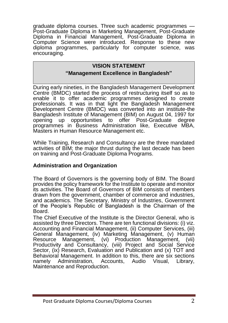graduate diploma courses. Three such academic programmes — Post-Graduate Diploma in Marketing Management, Post-Graduate Diploma in Financial Management, Post-Graduate Diploma in Computer Science were introduced. Response to these new diploma programmes, particularly for computer science, was encouraging.

#### **VISION STATEMENT**

#### **"Management Excellence in Bangladesh"**

During early nineties, in the Bangladesh Management Development Centre (BMDC) started the process of restructuring itself so as to enable it to offer academic programmes designed to create professionals. It was in that light the Bangladesh Management Development Centre (BMDC) was converted into an institute-the Bangladesh Institute of Management (BIM) on August 04, 1997 for opening up opportunities to offer Post-Graduate degree programmes in Business Administration like, Executive MBA, Masters in Human Resource Management etc.

While Training, Research and Consultancy are the three mandated activities of BIM; the major thrust during the last decade has been on training and Post-Graduate Diploma Programs.

#### **Administration and Organization**

The Board of Governors is the governing body of BIM. The Board provides the policy framework for the Institute to operate and monitor its activities. The Board of Governors of BIM consists of members drawn from the government, chamber of commerce and industries, and academics. The Secretary, Ministry of Industries, Government of the People's Republic of Bangladesh is the Chairman of the Board.

The Chief Executive of the Institute is the Director General, who is assisted by three Directors. There are ten functional divisions: (i) viz. Accounting and Financial Management, (ii) Computer Services, (iii) General Management, (iv) Marketing Management, (v) Human Resource Management, (vi) Production Management, Productivity and Consultancy, (viii) Project and Social Service Sector, (ix) Research, Evaluation and Publication and (x) TOT and Behavioral Management. In addition to this, there are six sections namely Administration, Accounts, Audio Visual, Library, Maintenance and Reproduction.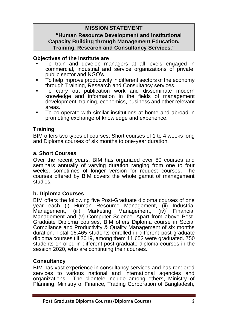#### **MISSION STATEMENT**

#### **"Human Resource Development and Institutional Capacity Building through Management Education, Training, Research and Consultancy Services."**

#### **Objectives of the Institute are**

- To train and develop managers at all levels engaged in commercial, industrial and service organizations of private, public sector and NGO's.
- To help improve productivity in different sectors of the economy through Training, Research and Consultancy services.
- To carry out publication work and disseminate modern knowledge and information in the fields of management development, training, economics, business and other relevant areas.
- To co-operate with similar institutions at home and abroad in promoting exchange of knowledge and experience.

#### **Training**

BIM offers two types of courses: Short courses of 1 to 4 weeks long and Diploma courses of six months to one-year duration.

#### **a. Short Courses**

Over the recent years, BIM has organized over 80 courses and seminars annually of varying duration ranging from one to four weeks, sometimes of longer version for request courses. The courses offered by BIM covers the whole gamut of management studies.

#### **b. Diploma Courses**

BIM offers the following five Post-Graduate diploma courses of one year each (i) Human Resource Management, (ii) Industrial Management, (iii) Marketing Management, (iv) Financial Management and (v) Computer Science. Apart from above Post-Graduate Diploma courses, BIM offers Diploma course in Social Compliance and Productivity & Quality Management of six months duration. Total 16,465 students enrolled in different post-graduate diploma courses till 2019, among them 11,652 were graduated. 750 students enrolled in different post-graduate diploma courses in the session 2020, who are continuing their courses.

#### **Consultancy**

BIM has vast experience in consultancy services and has rendered services to various national and international agencies and organizations. The clientele include among others, Ministry of Planning, Ministry of Finance, Trading Corporation of Bangladesh,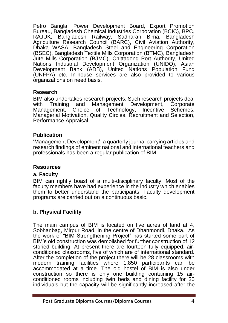Petro Bangla, Power Development Board, Export Promotion Bureau, Bangladesh Chemical Industries Corporation (BCIC), BPC, RAJUK, Bangladesh Railway, Sadharan Bima, Bangladesh Agriculture Research Council (BARC), Civil Aviation Authority, Dhaka WASA, Bangladesh Steel and Engineering Corporation (BSEC), Bangladesh Textile Mills Corporation (BTMC), Bangladesh Jute Mills Corporation (BJMC), Chittagong Port Authority, United Nations Industrial Development Organization (UNIDO), Asian Development Bank (ADB), United Nations Population Fund (UNFPA) etc. In-house services are also provided to various organizations on need basis.

#### **Research**

BIM also undertakes research projects. Such research projects deal with Training and Management Development, Corporate<br>Management, Choice of Technology, Incentive Schemes, Management, Choice of Technology, Incentive Managerial Motivation, Quality Circles, Recruitment and Selection, Performance Appraisal.

#### **Publication**

'Management Development', a quarterly journal carrying articles and research findings of eminent national and international teachers and professionals has been a regular publication of BIM.

#### **Resources**

#### **a. Faculty**

BIM can rightly boast of a multi-disciplinary faculty. Most of the faculty members have had experience in the industry which enables them to better understand the participants. Faculty development programs are carried out on a continuous basic.

#### **b. Physical Facility**

The main campus of BIM is located on five acres of land at 4, Sobhanbag, Mirpur Road, in the centre of Dhanmondi, Dhaka. As the work of "BIM Strengthening Project" has started some part of BIM's old construction was demolished for further construction of 12 storied building. At present there are fourteen fully equipped, airconditioned classrooms, five of which are of international standard. After the completion of the project there will be 28 classrooms with modern training facilities where 1,850 participants can be accommodated at a time. The old hostel of BIM is also under construction so there is only one building containing 15 airconditioned rooms including twin beds and dining facility for 30 individuals but the capacity will be significantly increased after the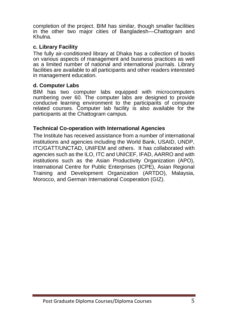completion of the project. BIM has similar, though smaller facilities in the other two major cities of Bangladesh—Chattogram and Khulna.

#### **c. Library Facility**

The fully air-conditioned library at Dhaka has a collection of books on various aspects of management and business practices as well as a limited number of national and international journals. Library facilities are available to all participants and other readers interested in management education.

#### **d. Computer Labs**

BIM has two computer labs equipped with microcomputers numbering over 60. The computer labs are designed to provide conducive learning environment to the participants of computer related courses. Computer lab facility is also available for the participants at the Chattogram campus.

#### **Technical Co-operation with International Agencies**

The Institute has received assistance from a number of international institutions and agencies including the World Bank, USAID, UNDP, ITC/GATT/UNCTAD, UNIFEM and others. It has collaborated with agencies such as the ILO, ITC and UNICEF, IFAD, AARRO and with institutions such as the Asian Productivity Organization (APO), International Centre for Public Enterprises (ICPE), Asian Regional Training and Development Organization (ARTDO), Malaysia, Morocco, and German International Cooperation (GIZ).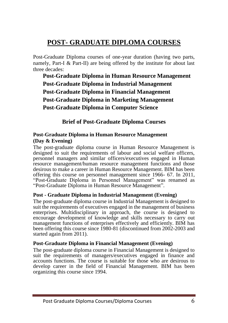## **POST- GRADUATE DIPLOMA COURSES**

Post-Graduate Diploma courses of one-year duration (having two parts, namely, Part-I & Part-II) are being offered by the institute for about last three decades:

**Post-Graduate Diploma in Human Resource Management Post-Graduate Diploma in Industrial Management Post-Graduate Diploma in Financial Management Post-Graduate Diploma in Marketing Management Post-Graduate Diploma in Computer Science**

**Brief of Post-Graduate Diploma Courses**

#### **Post-Graduate Diploma in Human Resource Management (Day & Evening)**

The post-graduate diploma course in Human Resource Management is designed to suit the requirements of labour and social welfare officers, personnel managers and similar officers/executives engaged in Human resource management/human resource management functions and those desirous to make a career in Human Resource Management. BIM has been offering this course on personnel management since 1966- 67. In 2011, "Post-Graduate Diploma in Personnel Management" was renamed as "Post-Graduate Diploma in Human Resource Management".

#### **Post - Graduate Diploma in Industrial Management (Evening)**

The post-graduate diploma course in Industrial Management is designed to suit the requirements of executives engaged in the management of business enterprises. Multidisciplinary in approach, the course is designed to encourage development of knowledge and skills necessary to carry out management functions of enterprises effectively and efficiently. BIM has been offering this course since 1980-81 (discontinued from 2002-2003 and started again from 2011).

#### **Post-Graduate Diploma in Financial Management (Evening)**

The post-graduate diploma course in Financial Management is designed to suit the requirements of managers/executives engaged in finance and accounts functions. The course is suitable for those who are desirous to develop career in the field of Financial Management. BIM has been organizing this course since 1994.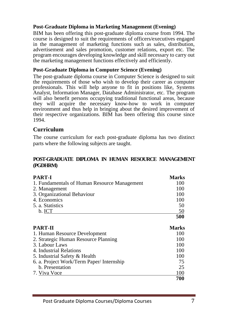#### **Post-Graduate Diploma in Marketing Management (Evening)**

BIM has been offering this post-graduate diploma course from 1994. The course is designed to suit the requirements of officers/executives engaged in the management of marketing functions such as sales, distribution, advertisement and sales promotion, customer relations, export etc. The program encourages developing knowledge and skill necessary to carry out the marketing management functions effectively and efficiently.

#### **Post-Graduate Diploma in Computer Science (Evening)**

The post-graduate diploma course in Computer Science is designed to suit the requirements of those who wish to develop their career as computer professionals. This will help anyone to fit in positions like, Systems Analyst, Information Manager, Database Administrator, etc. The program will also benefit persons occupying traditional functional areas, because they will acquire the necessary know-how to work in computer environment and thus help in bringing about the desired improvement of their respective organizations. BIM has been offering this course since 1994.

#### **Curriculum**

The course curriculum for each post-graduate diploma has two distinct parts where the following subjects are taught.

#### **POST-GRADUATE DIPLOMA IN HUMAN RESOURCE MANAGEMENT (PGDHRM)**

| <b>PART-I</b>                                | <b>Marks</b> |
|----------------------------------------------|--------------|
| 1. Fundamentals of Human Resource Management | 100          |
| 2. Management                                | 100          |
| 3. Organizational Behaviour                  | 100          |
| 4. Economics                                 | 100          |
| 5. a. Statistics                             | 50           |
| b. ICT                                       | 50           |
|                                              | 500          |
| <b>PART-II</b>                               | <b>Marks</b> |
| 1. Human Resource Development                | 100          |
| 2. Strategic Human Resource Planning         | 100          |
| 3. Labour Laws                               | 100          |
| 4. Industrial Relations                      | 100          |
| 5. Industrial Safety & Health                | 100          |
| 6. a. Project Work/Term Paper/Internship     | 75           |
| b. Presentation                              | 25           |
| 7. Viva Voce                                 | 100          |
|                                              | 700          |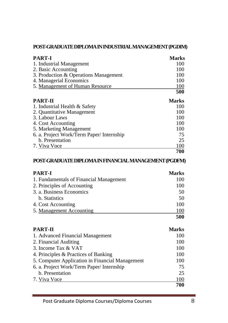#### **POST-GRADUATE DIPLOMA IN INDUSTRIAL MANAGEMENT (PGDIM)**

| PART-I                                    | Marks        |
|-------------------------------------------|--------------|
| 1. Industrial Management                  | 100          |
| 2. Basic Accounting                       | 100          |
| 3. Production & Operations Management     | 100          |
| 4. Managerial Economics                   | 100          |
| 5. Management of Human Resource           | 100          |
|                                           | 500          |
| PART-II                                   | <b>Marks</b> |
| 1. Industrial Health & Safety             | 100          |
| 2. Quantitative Management                | 100          |
| 3. Labour Laws                            | 100          |
| 4. Cost Accounting                        | 100          |
| 5. Marketing Management                   | 100          |
| 6. a. Project Work/Term Paper/ Internship | 75           |
| b. Presentation                           | 25           |
| 7. Viva Voce                              | 100          |

**700**

#### **POST-GRADUATE DIPLOMA IN FINANCIAL MANAGEMENT (PGDFM)**

| <b>PART-I</b>                           | <b>Marks</b> |
|-----------------------------------------|--------------|
| 1. Fundamentals of Financial Management | 100          |
| 2. Principles of Accounting             | 100          |
| 3. a. Business Economics                | 50           |
| b. Statistics                           | 50           |
| 4. Cost Accounting                      | 100          |
| 5. Management Accounting                | 100          |
|                                         | 500          |

| <b>PART-II</b>                                  | <b>Marks</b> |
|-------------------------------------------------|--------------|
| 1. Advanced Financial Management                | 100          |
| 2. Financial Auditing                           | 100          |
| 3. Income Tax & VAT                             | 100          |
| 4. Principles & Practices of Banking            | 100          |
| 5. Computer Application in Financial Management | 100          |
| 6. a. Project Work/Term Paper/ Internship       | 75           |
| b. Presentation                                 | 25           |
| 7. Viva Voce                                    | 100          |
|                                                 | 700          |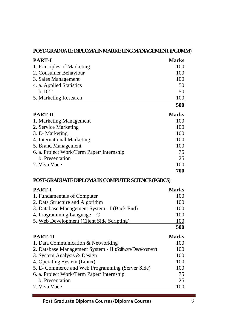#### **POST-GRADUATE DIPLOMA IN MARKETING MANAGEMENT (PGDMM)**

| PART-I                                   | <b>Marks</b> |
|------------------------------------------|--------------|
| 1. Principles of Marketing               | 100          |
| 2. Consumer Behaviour                    | 100          |
| 3. Sales Management                      | 100          |
| 4. a. Applied Statistics                 | 50           |
| b. ICT                                   | 50           |
| 5. Marketing Research                    | 100          |
|                                          | 500          |
| PART-II                                  | <b>Marks</b> |
| 1. Marketing Management                  | 100          |
| 2. Service Marketing                     | 100          |
| 3. E- Marketing                          | 100          |
| 4. International Marketing               | 100          |
| 5. Brand Management                      | 100          |
| 6. a. Project Work/Term Paper/Internship | 75           |
| b. Presentation                          | 25           |
| 7. Viva Voce                             | 100          |
|                                          | 700          |

#### **POST-GRADUATE DIPLOMA IN COMPUTER SCIENCE (PGDCS)**

| <b>PART-I</b>                                | <b>Marks</b> |
|----------------------------------------------|--------------|
| 1. Fundamentals of Computer                  | 100          |
| 2. Data Structure and Algorithm              | 100          |
| 3. Database Management System - I (Back End) | 100          |
| 4. Programming Language $-C$                 | 100          |
| 5. Web Development (Client Side Scripting)   | 100          |
|                                              | 500          |

| PART-1I                                                   | <b>Marks</b> |
|-----------------------------------------------------------|--------------|
| 1. Data Communication & Networking                        | 100          |
| 2. Database Management System - II (Software Development) | 100          |
| 3. System Analysis & Design                               | 100          |
| 4. Operating System (Linux)                               | 100          |
| 5. E- Commerce and Web Programming (Server Side)          | 100          |
| 6. a. Project Work/Term Paper/ Internship                 | 75           |
| b. Presentation                                           | 25           |
| 7. Viva Voce                                              | 100          |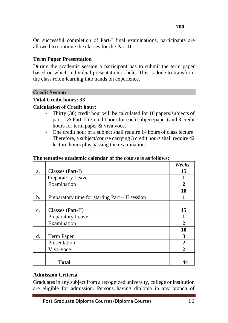On successful completion of Part-I final examinations, participants are allowed to continue the classes for the Part-II.

#### **Term Paper Presentation**

During the academic session a participant has to submit the term paper based on which individual presentation is held. This is done to transform the class room learning into hands on experience.

#### **Credit System**

#### **Total Credit hours: 33**

#### **Calculation of Credit hour:**

- Thirty (30) credit hour will be calculated for 10 papers/subjects of part- I & Part-II (3 credit hour for each subject/paper) and 3 credit hours for term paper & viva voce.
- One credit hour of a subject shall require 14 hours of class lecture. Therefore, a subject/course carrying 3 credit hours shall require 42 lecture hours plus passing the examination.

|    |                                                   | Weeks          |
|----|---------------------------------------------------|----------------|
| a. | Classes (Part-I)                                  | 15             |
|    | Preparatory Leave                                 |                |
|    | Examination                                       | $\mathbf{2}$   |
|    |                                                   | 18             |
| b. | Preparatory time for starting $Part - II$ session |                |
|    |                                                   |                |
| c. | Classes (Part-II)                                 | 15             |
|    | Preparatory Leave                                 |                |
|    | Examination                                       | $\overline{2}$ |
|    |                                                   | 18             |
| d. | Term Paper                                        | 3              |
|    | Presentation                                      | $\overline{2}$ |
|    | Viva-voce                                         | $\mathbf{2}$   |
|    |                                                   |                |
|    | <b>Total</b>                                      | 44             |

#### **The tentative academic calendar of the course is as follows:**

#### **Admission Criteria**

Graduates in any subject from a recognized university, college or institution are eligible for admission. Persons having diploma in any branch of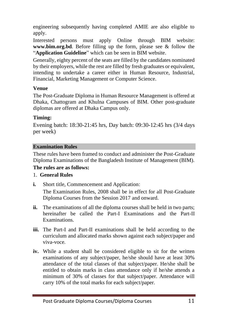engineering subsequently having completed AMIE are also eligible to apply.

Interested persons must apply Online through BIM website: **www.bim.org.bd**. Before filling up the form, please see & follow the "**Application Guideline**" which can be seen in BIM website.

Generally, eighty percent of the seats are filled by the candidates nominated by their employers, while the rest are filled by fresh graduates or equivalent, intending to undertake a career either in Human Resource, Industrial, Financial, Marketing Management or Computer Science.

#### **Venue**

The Post-Graduate Diploma in Human Resource Management is offered at Dhaka, Chattogram and Khulna Campuses of BIM. Other post-graduate diplomas are offered at Dhaka Campus only.

#### **Timing:**

Evening batch: 18:30-21:45 hrs, Day batch: 09:30-12:45 hrs (3/4 days per week)

#### **Examination Rules**

These rules have been framed to conduct and administer the Post-Graduate Diploma Examinations of the Bangladesh Institute of Management (BIM). **The rules are as follows:**

#### 1. **General Rules**

**i.** Short title, Commencement and Application:

The Examination Rules, 2008 shall be in effect for all Post-Graduate Diploma Courses from the Session 2017 and onward.

- **ii.** The examinations of all the diploma courses shall be held in two parts; hereinafter be called the Part-I Examinations and the Part-II Examinations.
- **iii.** The Part-I and Part-II examinations shall be held according to the curriculum and allocated marks shown against each subject/paper and viva-voce.
- **iv.** While a student shall be considered eligible to sit for the written examinations of any subject/paper, he/she should have at least 30% attendance of the total classes of that subject/paper. He/she shall be entitled to obtain marks in class attendance only if he/she attends a minimum of 30% of classes for that subject/paper. Attendance will carry 10% of the total marks for each subject/paper.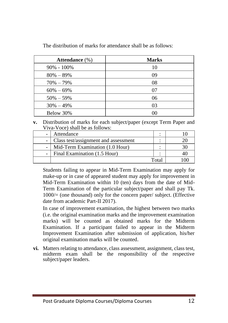| Attendance $(\%)$ | <b>Marks</b> |
|-------------------|--------------|
| $90\% - 100\%$    | 10           |
| $80\% - 89\%$     | 09           |
| $70\% - 79\%$     | 08           |
| $60\% - 69\%$     | 07           |
| $50\% - 59\%$     | 06           |
| $30\% - 49\%$     | 03           |
| Below 30%         | 00           |

The distribution of marks for attendance shall be as follows:

**v.** Distribution of marks for each subject/paper (except Term Paper and Viva-Voce) shall be as follows:

| Attendance                           |      |  |
|--------------------------------------|------|--|
| Class test/assignment and assessment |      |  |
| Mid-Term Examination (1.0 Hour)      |      |  |
| Final Examination (1.5 Hour)         |      |  |
|                                      | Tota |  |

Students failing to appear in Mid-Term Examination may apply for make-up or in case of appeared student may apply for improvement in Mid-Term Examination within 10 (ten) days from the date of Mid-Term Examination of the particular subject/paper and shall pay Tk. 1000/= (one thousand) only for the concern paper/ subject. (Effective date from academic Part-II 2017).

In case of improvement examination, the highest between two marks (i.e. the original examination marks and the improvement examination marks) will be counted as obtained marks for the Midterm Examination. If a participant failed to appear in the Midterm Improvement Examination after submission of application, his/her original examination marks will be counted.

**vi.** Matters relating to attendance, class assessment, assignment, class test, midterm exam shall be the responsibility of the respective subject/paper leaders.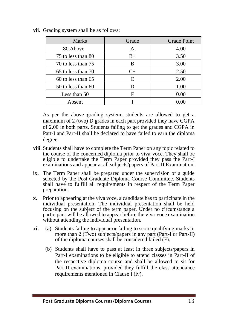| <b>Marks</b>           | Grade | <b>Grade Point</b> |
|------------------------|-------|--------------------|
| 80 Above               | A     | 4.00               |
| 75 to less than 80     | $B+$  | 3.50               |
| 70 to less than 75     | B     | 3.00               |
| $65$ to less than $70$ | $C+$  | 2.50               |
| $60$ to less than $65$ | C     | 2.00               |
| 50 to less than 60     | D     | 1.00               |
| Less than 50           | F     | 0.00               |
| Absent                 |       | 0.00               |

**vii**. Grading system shall be as follows:

As per the above grading system, students are allowed to get a maximum of 2 (two) D grades in each part provided they have CGPA of 2.00 in both parts. Students failing to get the grades and CGPA in Part-I and Part-II shall be declared to have failed to earn the diploma degree.

- **viii**. Students shall have to complete the Term Paper on any topic related to the course of the concerned diploma prior to viva-voce. They shall be eligible to undertake the Term Paper provided they pass the Part-I examinations and appear at all subjects/papers of Part-II Examination.
- **ix.** The Term Paper shall be prepared under the supervision of a guide selected by the Post-Graduate Diploma Course Committee. Students shall have to fulfill all requirements in respect of the Term Paper preparation.
- **x.** Prior to appearing at the viva voce, a candidate has to participate in the individual presentation. The individual presentation shall be held focusing on the subject of the term paper. Under no circumstance a participant will be allowed to appear before the viva-voce examination without attending the individual presentation.
- **xi.** (a) Students failing to appear or failing to score qualifying marks in more than 2 (Two) subjects/papers in any part (Part-I or Part-II) of the diploma courses shall be considered failed (F).
	- (b) Students shall have to pass at least in three subjects/papers in Part-I examinations to be eligible to attend classes in Part-II of the respective diploma course and shall be allowed to sit for Part-II examinations, provided they fulfill the class attendance requirements mentioned in Clause I (iv).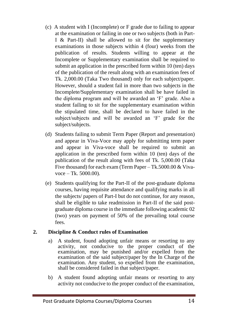- (c) A student with I (Incomplete) or F grade due to failing to appear at the examination or failing in one or two subjects (both in Part-I & Part-II) shall be allowed to sit for the supplementary examinations in those subjects within 4 (four) weeks from the publication of results. Students willing to appear at the Incomplete or Supplementary examination shall be required to submit an application in the prescribed form within 10 (ten) days of the publication of the result along with an examination fees of Tk. 2,000.00 (Taka Two thousand) only for each subject/paper. However, should a student fail in more than two subjects in the Incomplete/Supplementary examination shall be have failed in the diploma program and will be awarded an 'F' grade. Also a student failing to sit for the supplementary examination within the stipulated time, shall be declared to have failed in the subject/subjects and will be awarded an 'F' grade for the subject/subjects.
- (d) Students failing to submit Term Paper (Report and presentation) and appear in Viva-Voce may apply for submitting term paper and appear in Viva-voce shall be required to submit an application in the prescribed form within 10 (ten) days of the publication of the result along with fees of Tk. 5,000.00 (Taka Five thousand) for each exam (Term Paper – Tk.5000.00 & Vivavoce – Tk. 5000.00).
- (e) Students qualifying for the Part-II of the post-graduate diploma courses, having requisite attendance and qualifying marks in all the subjects/ papers of Part-I but do not continue, for any reason, shall be eligible to take readmission in Part-II of the said postgraduate diploma course in the immediate following academic 02 (two) years on payment of 50% of the prevailing total course fees.

#### **2. Discipline & Conduct rules of Examination**

- a) A student, found adopting unfair means or resorting to any activity, not conducive to the proper conduct of the examination, may be punished and/or expelled from the examination of the said subject/paper by the In Charge of the examination. Any student, so expelled from the examination, shall be considered failed in that subject/paper.
- b) A student found adopting unfair means or resorting to any activity not conducive to the proper conduct of the examination,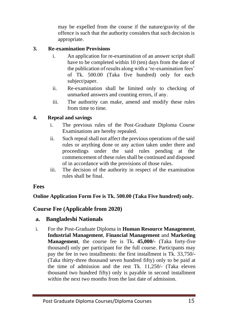may be expelled from the course if the nature/gravity of the offence is such that the authority considers that such decision is appropriate.

#### **3. Re-examination Provisions**

- i. An application for re-examination of an answer script shall have to be completed within 10 (ten) days from the date of the publication of results along with a 're-examination fees' of Tk. 500.00 (Taka five hundred) only for each subject/paper.
- ii. Re-examination shall be limited only to checking of unmarked answers and counting errors, if any.
- iii. The authority can make, amend and modify these rules from time to time.

#### **4. Repeal and savings**

- i. The previous rules of the Post-Graduate Diploma Course Examinations are hereby repealed.
- ii. Such repeal shall not affect the previous operations of the said rules or anything done or any action taken under there and proceedings under the said rules pending at the commencement of these rules shall be continued and disposed of in accordance with the provisions of those rules.
- iii. The decision of the authority in respect of the examination rules shall be final.

#### **Fees**

#### **Online Application Form Fee is Tk. 500.00 (Taka Five hundred) only.**

#### **Course Fee (Applicable from 2020)**

#### **a. Bangladeshi Nationals**

i. For the Post-Graduate Diploma in **Human Resource Management**, **Industrial Management**, **Financial Management** and **Marketing Management**, the course fee is Tk**. 45,000/-** (Taka forty-five thousand) only per participant for the full course. Participants may pay the fee in two installments: the first installment is Tk. 33,750/- (Taka thirty-three thousand seven hundred fifty) only to be paid at the time of admission and the rest Tk. 11,250/- (Taka eleven thousand two hundred fifty) only is payable in second installment within the next two months from the last date of admission.